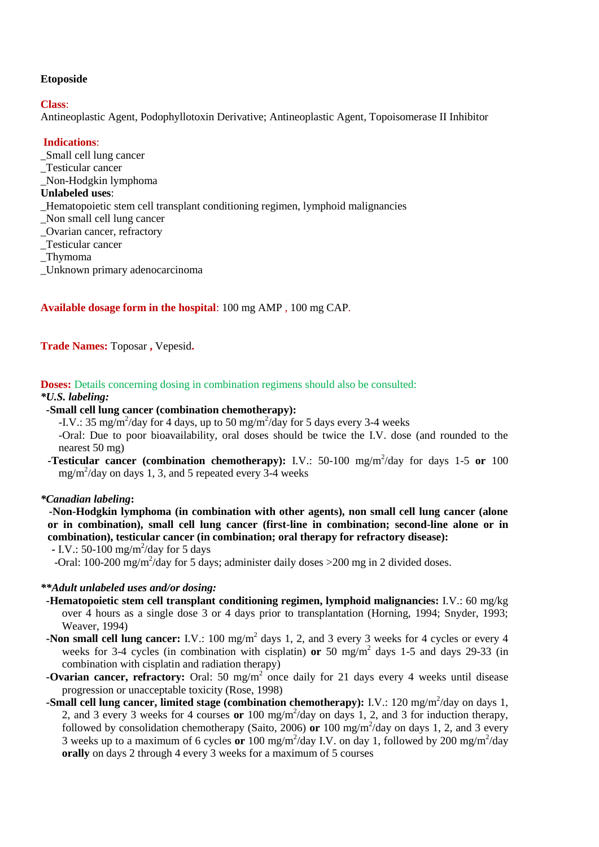#### **Etoposide**

#### **Class**:

Antineoplastic Agent, Podophyllotoxin Derivative; Antineoplastic Agent, Topoisomerase II Inhibitor

## **Indications**:

- \_Small cell lung cancer
- \_Testicular cancer
- \_Non-Hodgkin lymphoma

#### **Unlabeled uses**:

- \_Hematopoietic stem cell transplant conditioning regimen, lymphoid malignancies
- \_Non small cell lung cancer
- \_Ovarian cancer, refractory
- \_Testicular cancer
- \_Thymoma
- \_Unknown primary adenocarcinoma

# **Available dosage form in the hospital**: 100 mg AMP , 100 mg CAP.

**Trade Names:** Toposar **,** Vepesid**.**

**Doses:** Details concerning dosing in combination regimens should also be consulted:

#### *\*U.S. labeling:*

### **-Small cell lung cancer (combination chemotherapy):**

-I.V.: 35 mg/m<sup>2</sup>/day for 4 days, up to 50 mg/m<sup>2</sup>/day for 5 days every 3-4 weeks

-Oral: Due to poor bioavailability, oral doses should be twice the I.V. dose (and rounded to the nearest 50 mg)

**-Testicular cancer (combination chemotherapy):** I.V.: 50-100 mg/m<sup>2</sup>/day for days 1-5 or 100  $mg/m^2$ /day on days 1, 3, and 5 repeated every 3-4 weeks

#### *\*Canadian labeling***:**

**-Non-Hodgkin lymphoma (in combination with other agents), non small cell lung cancer (alone or in combination), small cell lung cancer (first-line in combination; second-line alone or in combination), testicular cancer (in combination; oral therapy for refractory disease):**

*-* I.V.: 50-100 mg/m<sup>2</sup>/day for 5 days

-Oral: 100-200 mg/m<sup>2</sup>/day for 5 days; administer daily doses > 200 mg in 2 divided doses.

### *\*\*Adult unlabeled uses and/or dosing:*

- **-Hematopoietic stem cell transplant conditioning regimen, lymphoid malignancies:** I.V.: 60 mg/kg over 4 hours as a single dose 3 or 4 days prior to transplantation (Horning, 1994; Snyder, 1993; Weaver, 1994)
- **-Non small cell lung cancer:** I.V.: 100 mg/m<sup>2</sup> days 1, 2, and 3 every 3 weeks for 4 cycles or every 4 weeks for 3-4 cycles (in combination with cisplatin) **or** 50 mg/m<sup>2</sup> days 1-5 and days 29-33 (in combination with cisplatin and radiation therapy)
- **-Ovarian cancer, refractory:** Oral: 50 mg/m<sup>2</sup> once daily for 21 days every 4 weeks until disease progression or unacceptable toxicity (Rose, 1998)
- **-Small cell lung cancer, limited stage (combination chemotherapy):** I.V.: 120 mg/m<sup>2</sup>/day on days 1, 2, and 3 every 3 weeks for 4 courses **or** 100 mg/m<sup>2</sup> /day on days 1, 2, and 3 for induction therapy, followed by consolidation chemotherapy (Saito, 2006) or 100 mg/m<sup>2</sup>/day on days 1, 2, and 3 every 3 weeks up to a maximum of 6 cycles or  $100 \text{ mg/m}^2$ /day I.V. on day 1, followed by  $200 \text{ mg/m}^2$ /day **orally** on days 2 through 4 every 3 weeks for a maximum of 5 courses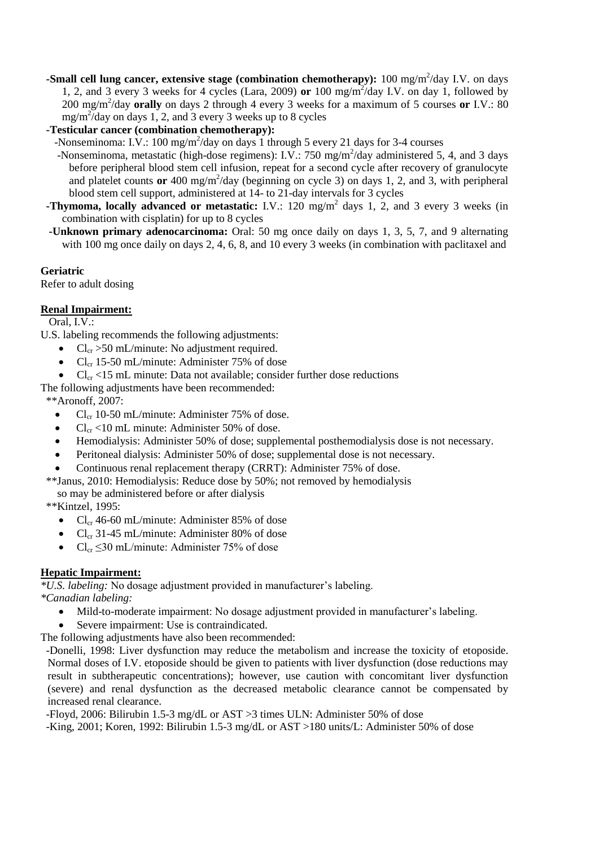**-Small cell lung cancer, extensive stage (combination chemotherapy):** 100 mg/m<sup>2</sup>/day I.V. on days 1, 2, and 3 every 3 weeks for 4 cycles (Lara, 2009) **or** 100 mg/m<sup>2</sup> /day I.V. on day 1, followed by 200 mg/m<sup>2</sup> /day **orally** on days 2 through 4 every 3 weeks for a maximum of 5 courses **or** I.V.: 80  $mg/m^2$ /day on days 1, 2, and 3 every 3 weeks up to 8 cycles

 **-Testicular cancer (combination chemotherapy):**

-Nonseminoma: I.V.: 100 mg/m<sup>2</sup>/day on days 1 through 5 every 21 days for 3-4 courses

- -Nonseminoma, metastatic (high-dose regimens): I.V.: 750 mg/m<sup>2</sup>/day administered 5, 4, and 3 days before peripheral blood stem cell infusion, repeat for a second cycle after recovery of granulocyte and platelet counts or 400 mg/m<sup>2</sup>/day (beginning on cycle 3) on days 1, 2, and 3, with peripheral blood stem cell support, administered at 14- to 21-day intervals for 3 cycles
- **-Thymoma, locally advanced or metastatic:** I.V.: 120 mg/m<sup>2</sup> days 1, 2, and 3 every 3 weeks (in combination with cisplatin) for up to 8 cycles
	- **-Unknown primary adenocarcinoma:** Oral: 50 mg once daily on days 1, 3, 5, 7, and 9 alternating with 100 mg once daily on days 2, 4, 6, 8, and 10 every 3 weeks (in combination with paclitaxel and

### **Geriatric**

Refer to adult dosing

# **Renal Impairment:**

Oral, I.V.:

U.S. labeling recommends the following adjustments:

- $Cl_{cr} > 50$  mL/minute: No adjustment required.
- $Cl_{cr}$  15-50 mL/minute: Administer 75% of dose
- $Cl_{cr}$  <15 mL minute: Data not available; consider further dose reductions

The following adjustments have been recommended:

\*\*Aronoff, 2007:

- Cl<sub>cr</sub> 10-50 mL/minute: Administer 75% of dose.
- $Cl_{cr}$  <10 mL minute: Administer 50% of dose.
- Hemodialysis: Administer 50% of dose; supplemental posthemodialysis dose is not necessary.
- Peritoneal dialysis: Administer 50% of dose; supplemental dose is not necessary.
- Continuous renal replacement therapy (CRRT): Administer 75% of dose.
- \*\*Janus, 2010: Hemodialysis: Reduce dose by 50%; not removed by hemodialysis

so may be administered before or after dialysis

- \*\*Kintzel, 1995:
	- $Cl_{cr}$  46-60 mL/minute: Administer 85% of dose
	- $Cl_{cr}$  31-45 mL/minute: Administer 80% of dose
	- $Cl_{cr} \leq 30 \text{ mL/minute}$ : Administer 75% of dose

# **Hepatic Impairment:**

*\*U.S. labeling:* No dosage adjustment provided in manufacturer's labeling. *\*Canadian labeling:*

- Mild-to-moderate impairment: No dosage adjustment provided in manufacturer's labeling.
- Severe impairment: Use is contraindicated.

The following adjustments have also been recommended:

 -Donelli, 1998: Liver dysfunction may reduce the metabolism and increase the toxicity of etoposide. Normal doses of I.V. etoposide should be given to patients with liver dysfunction (dose reductions may result in subtherapeutic concentrations); however, use caution with concomitant liver dysfunction (severe) and renal dysfunction as the decreased metabolic clearance cannot be compensated by increased renal clearance.

 -Floyd, 2006: Bilirubin 1.5-3 mg/dL or AST >3 times ULN: Administer 50% of dose -King, 2001; Koren, 1992: Bilirubin 1.5-3 mg/dL or AST >180 units/L: Administer 50% of dose